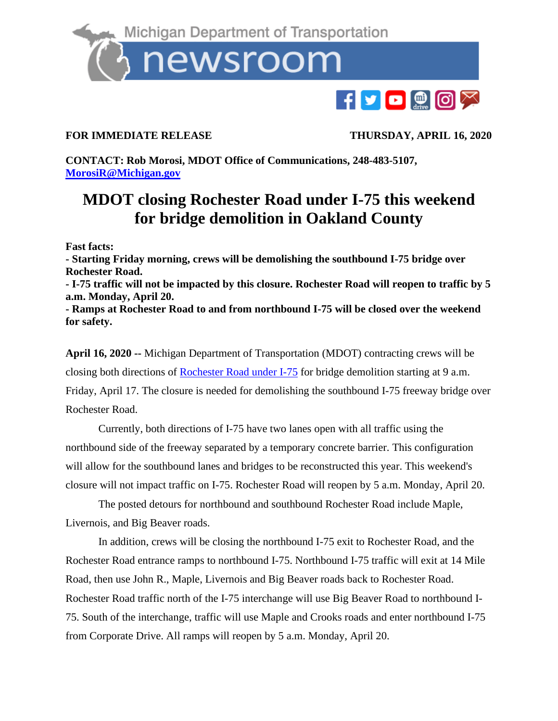

## **FOR IMMEDIATE RELEASE THURSDAY, APRIL 16, 2020**

**CONTACT: Rob Morosi, MDOT Office of Communications, 248-483-5107, [MorosiR@Michigan.gov](mailto:MorosiR@Michigan.gov)**

## **MDOT closing Rochester Road under I-75 this weekend for bridge demolition in Oakland County**

**Fast facts:**

**- Starting Friday morning, crews will be demolishing the southbound I-75 bridge over Rochester Road.**

**- I-75 traffic will not be impacted by this closure. Rochester Road will reopen to traffic by 5 a.m. Monday, April 20.** 

**- Ramps at Rochester Road to and from northbound I-75 will be closed over the weekend for safety.** 

**April 16, 2020 --** Michigan Department of Transportation (MDOT) contracting crews will be closing both directions of [Rochester Road under I-75](https://mdotjboss.state.mi.us/MiDrive/map?constZone=true&lat=42.557724318645675&lon=-83.1218804059122&zoom=15) for bridge demolition starting at 9 a.m. Friday, April 17. The closure is needed for demolishing the southbound I-75 freeway bridge over Rochester Road.

Currently, both directions of I-75 have two lanes open with all traffic using the northbound side of the freeway separated by a temporary concrete barrier. This configuration will allow for the southbound lanes and bridges to be reconstructed this year. This weekend's closure will not impact traffic on I-75. Rochester Road will reopen by 5 a.m. Monday, April 20.

The posted detours for northbound and southbound Rochester Road include Maple, Livernois, and Big Beaver roads.

In addition, crews will be closing the northbound I-75 exit to Rochester Road, and the Rochester Road entrance ramps to northbound I-75. Northbound I-75 traffic will exit at 14 Mile Road, then use John R., Maple, Livernois and Big Beaver roads back to Rochester Road. Rochester Road traffic north of the I-75 interchange will use Big Beaver Road to northbound I-75. South of the interchange, traffic will use Maple and Crooks roads and enter northbound I-75 from Corporate Drive. All ramps will reopen by 5 a.m. Monday, April 20.